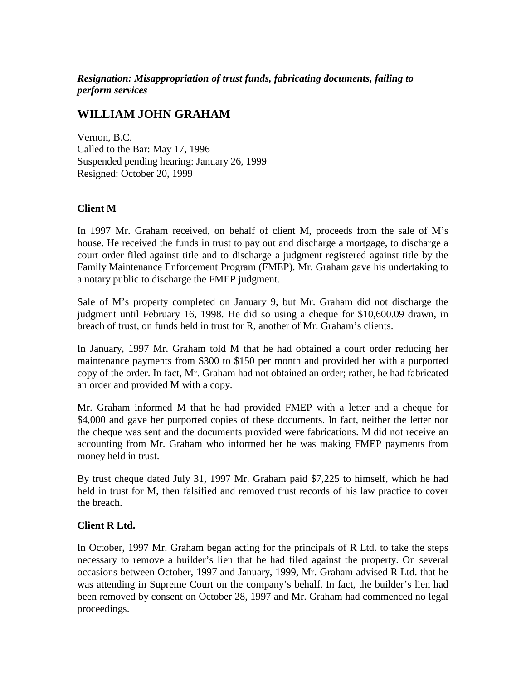*Resignation: Misappropriation of trust funds, fabricating documents, failing to perform services*

## **WILLIAM JOHN GRAHAM**

Vernon, B.C. Called to the Bar: May 17, 1996 Suspended pending hearing: January 26, 1999 Resigned: October 20, 1999

## **Client M**

In 1997 Mr. Graham received, on behalf of client M, proceeds from the sale of M's house. He received the funds in trust to pay out and discharge a mortgage, to discharge a court order filed against title and to discharge a judgment registered against title by the Family Maintenance Enforcement Program (FMEP). Mr. Graham gave his undertaking to a notary public to discharge the FMEP judgment.

Sale of M's property completed on January 9, but Mr. Graham did not discharge the judgment until February 16, 1998. He did so using a cheque for \$10,600.09 drawn, in breach of trust, on funds held in trust for R, another of Mr. Graham's clients.

In January, 1997 Mr. Graham told M that he had obtained a court order reducing her maintenance payments from \$300 to \$150 per month and provided her with a purported copy of the order. In fact, Mr. Graham had not obtained an order; rather, he had fabricated an order and provided M with a copy.

Mr. Graham informed M that he had provided FMEP with a letter and a cheque for \$4,000 and gave her purported copies of these documents. In fact, neither the letter nor the cheque was sent and the documents provided were fabrications. M did not receive an accounting from Mr. Graham who informed her he was making FMEP payments from money held in trust.

By trust cheque dated July 31, 1997 Mr. Graham paid \$7,225 to himself, which he had held in trust for M, then falsified and removed trust records of his law practice to cover the breach.

## **Client R Ltd.**

In October, 1997 Mr. Graham began acting for the principals of R Ltd. to take the steps necessary to remove a builder's lien that he had filed against the property. On several occasions between October, 1997 and January, 1999, Mr. Graham advised R Ltd. that he was attending in Supreme Court on the company's behalf. In fact, the builder's lien had been removed by consent on October 28, 1997 and Mr. Graham had commenced no legal proceedings.